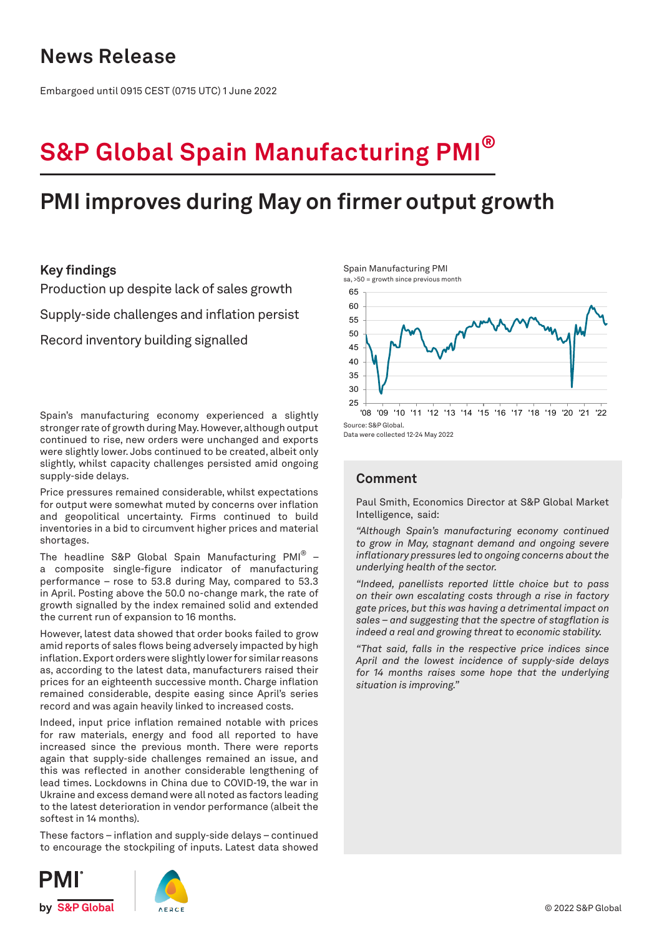## **News Release**

Embargoed until 0915 CEST (0715 UTC) 1 June 2022

# **S&P Global Spain Manufacturing PMI®**

## **PMI improves during May on firmer output growth**

### **Key findings**

Production up despite lack of sales growth

Supply-side challenges and inflation persist

Record inventory building signalled

Spain's manufacturing economy experienced a slightly stronger rate of growth during May. However, although output continued to rise, new orders were unchanged and exports were slightly lower. Jobs continued to be created, albeit only slightly, whilst capacity challenges persisted amid ongoing supply-side delays.

Price pressures remained considerable, whilst expectations for output were somewhat muted by concerns over inflation and geopolitical uncertainty. Firms continued to build inventories in a bid to circumvent higher prices and material shortages.

The headline S&P Global Spain Manufacturing PMI® a composite single-figure indicator of manufacturing performance – rose to 53.8 during May, compared to 53.3 in April. Posting above the 50.0 no-change mark, the rate of growth signalled by the index remained solid and extended the current run of expansion to 16 months.

However, latest data showed that order books failed to grow amid reports of sales flows being adversely impacted by high inflation. Export orders were slightly lower for similar reasons as, according to the latest data, manufacturers raised their prices for an eighteenth successive month. Charge inflation remained considerable, despite easing since April's series record and was again heavily linked to increased costs.

Indeed, input price inflation remained notable with prices for raw materials, energy and food all reported to have increased since the previous month. There were reports again that supply-side challenges remained an issue, and this was reflected in another considerable lengthening of lead times. Lockdowns in China due to COVID-19, the war in Ukraine and excess demand were all noted as factors leading to the latest deterioration in vendor performance (albeit the softest in 14 months).

These factors – inflation and supply-side delays – continued to encourage the stockpiling of inputs. Latest data showed







Data were collected 12-24 May 2022

## **Comment**

Paul Smith, Economics Director at S&P Global Market Intelligence, said:

*"Although Spain's manufacturing economy continued to grow in May, stagnant demand and ongoing severe inflationary pressures led to ongoing concerns about the underlying health of the sector.*

*"Indeed, panellists reported little choice but to pass on their own escalating costs through a rise in factory gate prices, but this was having a detrimental impact on sales – and suggesting that the spectre of stagflation is indeed a real and growing threat to economic stability.* 

*"That said, falls in the respective price indices since April and the lowest incidence of supply-side delays for 14 months raises some hope that the underlying situation is improving."*